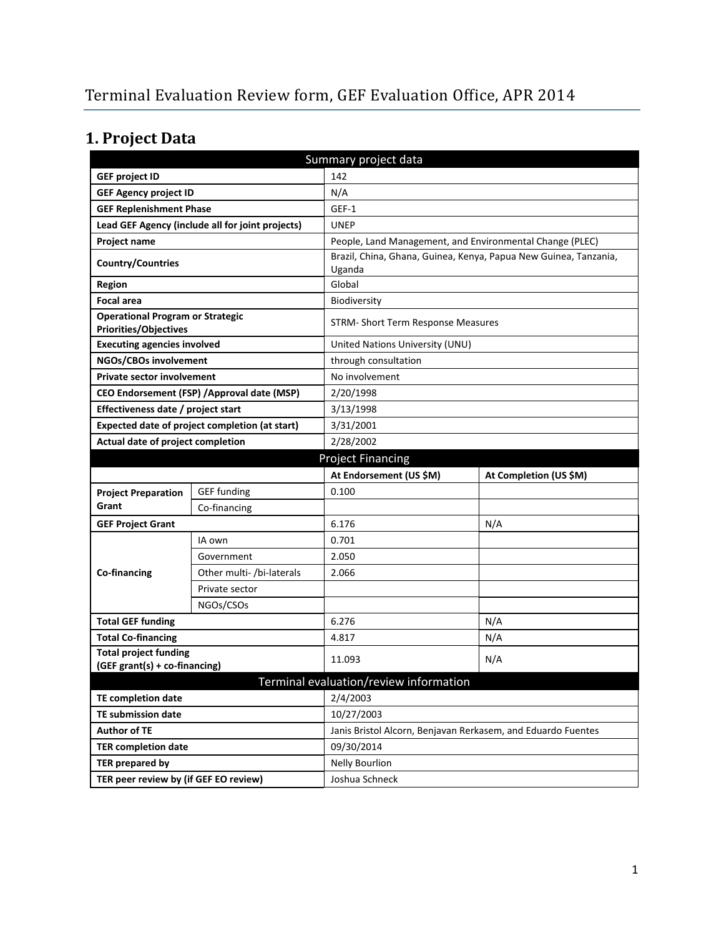# **1. Project Data**

| Summary project data                                             |                                                  |                                                              |                                                                  |  |
|------------------------------------------------------------------|--------------------------------------------------|--------------------------------------------------------------|------------------------------------------------------------------|--|
| <b>GEF project ID</b>                                            |                                                  | 142                                                          |                                                                  |  |
| <b>GEF Agency project ID</b>                                     |                                                  | N/A                                                          |                                                                  |  |
| <b>GEF Replenishment Phase</b>                                   |                                                  | GEF-1                                                        |                                                                  |  |
|                                                                  | Lead GEF Agency (include all for joint projects) | <b>UNEP</b>                                                  |                                                                  |  |
| Project name                                                     |                                                  | People, Land Management, and Environmental Change (PLEC)     |                                                                  |  |
| <b>Country/Countries</b>                                         |                                                  | Uganda                                                       | Brazil, China, Ghana, Guinea, Kenya, Papua New Guinea, Tanzania, |  |
| <b>Region</b>                                                    |                                                  | Global                                                       |                                                                  |  |
| <b>Focal area</b>                                                |                                                  | <b>Biodiversity</b>                                          |                                                                  |  |
| <b>Operational Program or Strategic</b><br>Priorities/Objectives |                                                  |                                                              | STRM- Short Term Response Measures                               |  |
| <b>Executing agencies involved</b>                               |                                                  | United Nations University (UNU)                              |                                                                  |  |
| NGOs/CBOs involvement                                            |                                                  | through consultation                                         |                                                                  |  |
| <b>Private sector involvement</b>                                |                                                  | No involvement                                               |                                                                  |  |
| CEO Endorsement (FSP) / Approval date (MSP)                      |                                                  | 2/20/1998                                                    |                                                                  |  |
| Effectiveness date / project start                               |                                                  | 3/13/1998                                                    |                                                                  |  |
| Expected date of project completion (at start)                   |                                                  | 3/31/2001                                                    |                                                                  |  |
| Actual date of project completion                                |                                                  | 2/28/2002                                                    |                                                                  |  |
| <b>Project Financing</b>                                         |                                                  |                                                              |                                                                  |  |
|                                                                  |                                                  | At Endorsement (US \$M)                                      | At Completion (US \$M)                                           |  |
| <b>Project Preparation</b>                                       | <b>GEF</b> funding                               | 0.100                                                        |                                                                  |  |
| Grant                                                            | Co-financing                                     |                                                              |                                                                  |  |
| <b>GEF Project Grant</b>                                         |                                                  | 6.176                                                        | N/A                                                              |  |
|                                                                  | IA own                                           | 0.701                                                        |                                                                  |  |
|                                                                  | Government                                       | 2.050                                                        |                                                                  |  |
| Co-financing                                                     | Other multi- /bi-laterals                        | 2.066                                                        |                                                                  |  |
|                                                                  | Private sector                                   |                                                              |                                                                  |  |
|                                                                  | NGOs/CSOs                                        |                                                              |                                                                  |  |
| <b>Total GEF funding</b>                                         |                                                  | 6.276                                                        | N/A                                                              |  |
| <b>Total Co-financing</b>                                        |                                                  | 4.817                                                        | N/A                                                              |  |
| <b>Total project funding</b>                                     |                                                  | 11.093                                                       | N/A                                                              |  |
| (GEF grant(s) + co-financing)                                    |                                                  |                                                              |                                                                  |  |
| Terminal evaluation/review information                           |                                                  |                                                              |                                                                  |  |
| <b>TE completion date</b>                                        |                                                  | 2/4/2003                                                     |                                                                  |  |
| TE submission date                                               |                                                  | 10/27/2003                                                   |                                                                  |  |
| <b>Author of TE</b>                                              |                                                  | Janis Bristol Alcorn, Benjavan Rerkasem, and Eduardo Fuentes |                                                                  |  |
| <b>TER completion date</b>                                       |                                                  | 09/30/2014                                                   |                                                                  |  |
| TER prepared by                                                  |                                                  | <b>Nelly Bourlion</b>                                        |                                                                  |  |
| TER peer review by (if GEF EO review)                            |                                                  | Joshua Schneck                                               |                                                                  |  |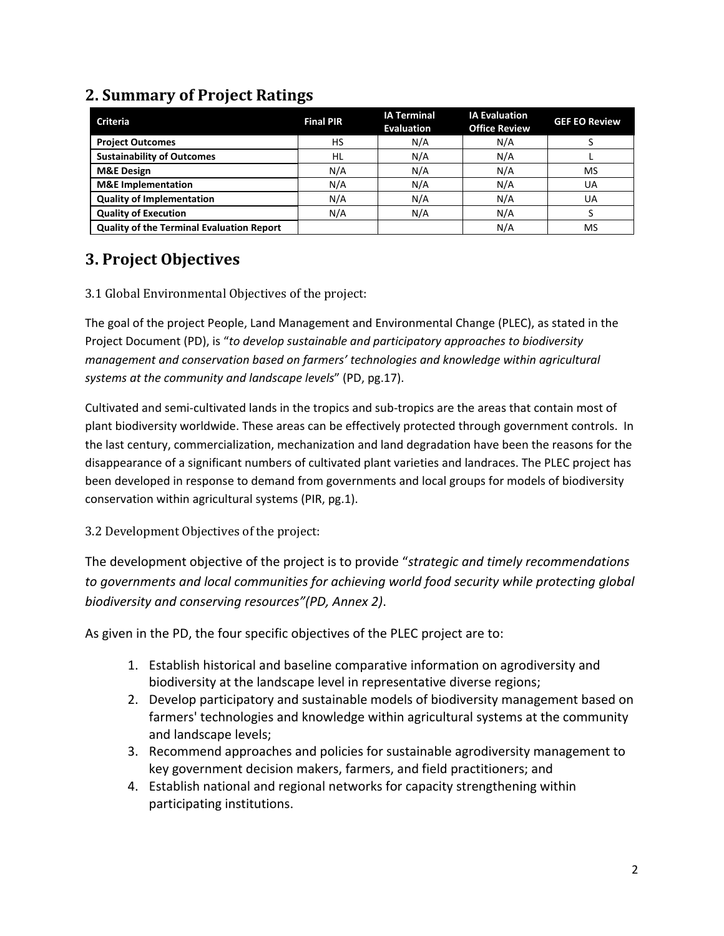| <b>Criteria</b>                                  | <b>Final PIR</b> | <b>IA Terminal</b><br><b>Evaluation</b> | <b>IA Evaluation</b><br><b>Office Review</b> | <b>GEF EO Review</b> |
|--------------------------------------------------|------------------|-----------------------------------------|----------------------------------------------|----------------------|
| <b>Project Outcomes</b>                          | HS               | N/A                                     | N/A                                          |                      |
| <b>Sustainability of Outcomes</b>                | HL               | N/A                                     | N/A                                          |                      |
| <b>M&amp;E Design</b>                            | N/A              | N/A                                     | N/A                                          | <b>MS</b>            |
| <b>M&amp;E</b> Implementation                    | N/A              | N/A                                     | N/A                                          | UA                   |
| <b>Quality of Implementation</b>                 | N/A              | N/A                                     | N/A                                          | UA                   |
| <b>Quality of Execution</b>                      | N/A              | N/A                                     | N/A                                          |                      |
| <b>Quality of the Terminal Evaluation Report</b> |                  |                                         | N/A                                          | MS                   |

## **2. Summary of Project Ratings**

## **3. Project Objectives**

#### 3.1 Global Environmental Objectives of the project:

The goal of the project People, Land Management and Environmental Change (PLEC), as stated in the Project Document (PD), is "*to develop sustainable and participatory approaches to biodiversity management and conservation based on farmers' technologies and knowledge within agricultural systems at the community and landscape levels*" (PD, pg.17).

Cultivated and semi-cultivated lands in the tropics and sub-tropics are the areas that contain most of plant biodiversity worldwide. These areas can be effectively protected through government controls. In the last century, commercialization, mechanization and land degradation have been the reasons for the disappearance of a significant numbers of cultivated plant varieties and landraces. The PLEC project has been developed in response to demand from governments and local groups for models of biodiversity conservation within agricultural systems (PIR, pg.1).

3.2 Development Objectives of the project:

The development objective of the project is to provide "*strategic and timely recommendations to governments and local communities for achieving world food security while protecting global biodiversity and conserving resources"(PD, Annex 2)*.

As given in the PD, the four specific objectives of the PLEC project are to:

- 1. Establish historical and baseline comparative information on agrodiversity and biodiversity at the landscape level in representative diverse regions;
- 2. Develop participatory and sustainable models of biodiversity management based on farmers' technologies and knowledge within agricultural systems at the community and landscape levels;
- 3. Recommend approaches and policies for sustainable agrodiversity management to key government decision makers, farmers, and field practitioners; and
- 4. Establish national and regional networks for capacity strengthening within participating institutions.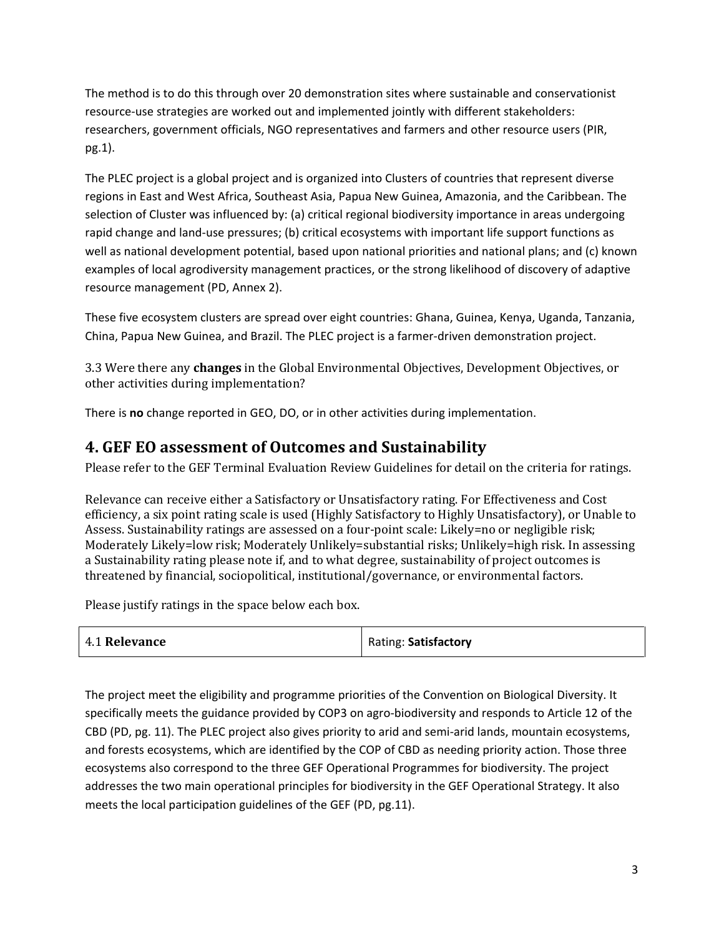The method is to do this through over 20 demonstration sites where sustainable and conservationist resource-use strategies are worked out and implemented jointly with different stakeholders: researchers, government officials, NGO representatives and farmers and other resource users (PIR, pg.1).

The PLEC project is a global project and is organized into Clusters of countries that represent diverse regions in East and West Africa, Southeast Asia, Papua New Guinea, Amazonia, and the Caribbean. The selection of Cluster was influenced by: (a) critical regional biodiversity importance in areas undergoing rapid change and land-use pressures; (b) critical ecosystems with important life support functions as well as national development potential, based upon national priorities and national plans; and (c) known examples of local agrodiversity management practices, or the strong likelihood of discovery of adaptive resource management (PD, Annex 2).

These five ecosystem clusters are spread over eight countries: Ghana, Guinea, Kenya, Uganda, Tanzania, China, Papua New Guinea, and Brazil. The PLEC project is a farmer-driven demonstration project.

3.3 Were there any **changes** in the Global Environmental Objectives, Development Objectives, or other activities during implementation?

There is **no** change reported in GEO, DO, or in other activities during implementation.

### **4. GEF EO assessment of Outcomes and Sustainability**

Please refer to the GEF Terminal Evaluation Review Guidelines for detail on the criteria for ratings.

Relevance can receive either a Satisfactory or Unsatisfactory rating. For Effectiveness and Cost efficiency, a six point rating scale is used (Highly Satisfactory to Highly Unsatisfactory), or Unable to Assess. Sustainability ratings are assessed on a four-point scale: Likely=no or negligible risk; Moderately Likely=low risk; Moderately Unlikely=substantial risks; Unlikely=high risk. In assessing a Sustainability rating please note if, and to what degree, sustainability of project outcomes is threatened by financial, sociopolitical, institutional/governance, or environmental factors.

Please justify ratings in the space below each box.

| <b>4.1 Relevance</b><br>Rating: Satisfactory |  |  |
|----------------------------------------------|--|--|
|----------------------------------------------|--|--|

The project meet the eligibility and programme priorities of the Convention on Biological Diversity. It specifically meets the guidance provided by COP3 on agro-biodiversity and responds to Article 12 of the CBD (PD, pg. 11). The PLEC project also gives priority to arid and semi-arid lands, mountain ecosystems, and forests ecosystems, which are identified by the COP of CBD as needing priority action. Those three ecosystems also correspond to the three GEF Operational Programmes for biodiversity. The project addresses the two main operational principles for biodiversity in the GEF Operational Strategy. It also meets the local participation guidelines of the GEF (PD, pg.11).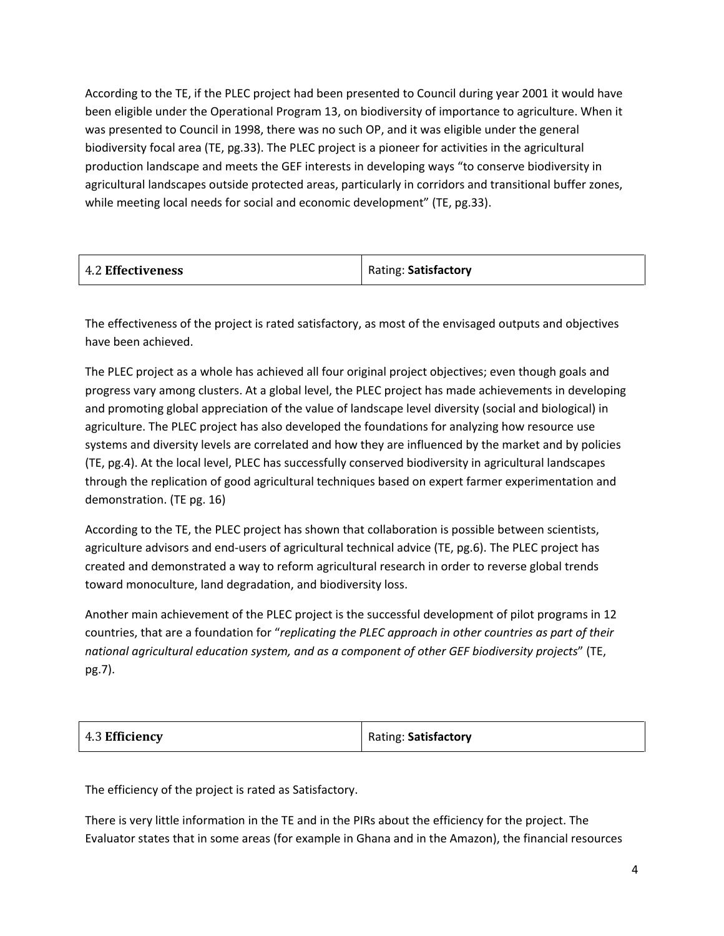According to the TE, if the PLEC project had been presented to Council during year 2001 it would have been eligible under the Operational Program 13, on biodiversity of importance to agriculture. When it was presented to Council in 1998, there was no such OP, and it was eligible under the general biodiversity focal area (TE, pg.33). The PLEC project is a pioneer for activities in the agricultural production landscape and meets the GEF interests in developing ways "to conserve biodiversity in agricultural landscapes outside protected areas, particularly in corridors and transitional buffer zones, while meeting local needs for social and economic development" (TE, pg.33).

| 4.2 Effectiveness | Rating: Satisfactory |
|-------------------|----------------------|
|-------------------|----------------------|

The effectiveness of the project is rated satisfactory, as most of the envisaged outputs and objectives have been achieved.

The PLEC project as a whole has achieved all four original project objectives; even though goals and progress vary among clusters. At a global level, the PLEC project has made achievements in developing and promoting global appreciation of the value of landscape level diversity (social and biological) in agriculture. The PLEC project has also developed the foundations for analyzing how resource use systems and diversity levels are correlated and how they are influenced by the market and by policies (TE, pg.4). At the local level, PLEC has successfully conserved biodiversity in agricultural landscapes through the replication of good agricultural techniques based on expert farmer experimentation and demonstration. (TE pg. 16)

According to the TE, the PLEC project has shown that collaboration is possible between scientists, agriculture advisors and end-users of agricultural technical advice (TE, pg.6). The PLEC project has created and demonstrated a way to reform agricultural research in order to reverse global trends toward monoculture, land degradation, and biodiversity loss.

Another main achievement of the PLEC project is the successful development of pilot programs in 12 countries, that are a foundation for "*replicating the PLEC approach in other countries as part of their national agricultural education system, and as a component of other GEF biodiversity projects*" (TE, pg.7).

| 4.3 Efficiency | Rating: Satisfactory |
|----------------|----------------------|
|                |                      |

The efficiency of the project is rated as Satisfactory.

There is very little information in the TE and in the PIRs about the efficiency for the project. The Evaluator states that in some areas (for example in Ghana and in the Amazon), the financial resources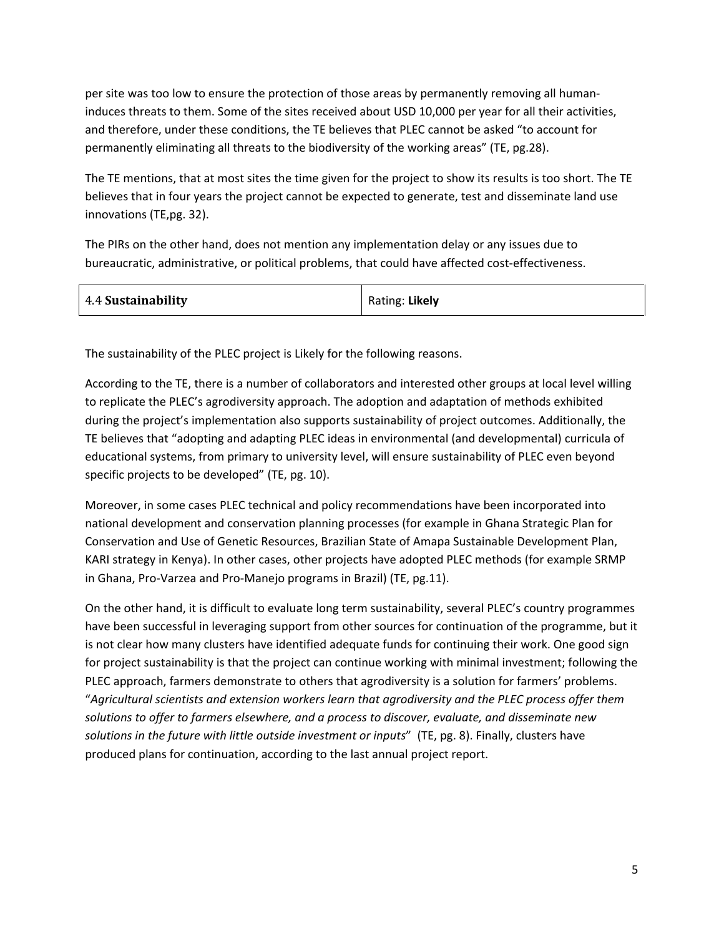per site was too low to ensure the protection of those areas by permanently removing all humaninduces threats to them. Some of the sites received about USD 10,000 per year for all their activities, and therefore, under these conditions, the TE believes that PLEC cannot be asked "to account for permanently eliminating all threats to the biodiversity of the working areas" (TE, pg.28).

The TE mentions, that at most sites the time given for the project to show its results is too short. The TE believes that in four years the project cannot be expected to generate, test and disseminate land use innovations (TE,pg. 32).

The PIRs on the other hand, does not mention any implementation delay or any issues due to bureaucratic, administrative, or political problems, that could have affected cost-effectiveness.

| 4.4 Sustainability | Rating: Likely |
|--------------------|----------------|
|--------------------|----------------|

The sustainability of the PLEC project is Likely for the following reasons.

According to the TE, there is a number of collaborators and interested other groups at local level willing to replicate the PLEC's agrodiversity approach. The adoption and adaptation of methods exhibited during the project's implementation also supports sustainability of project outcomes. Additionally, the TE believes that "adopting and adapting PLEC ideas in environmental (and developmental) curricula of educational systems, from primary to university level, will ensure sustainability of PLEC even beyond specific projects to be developed" (TE, pg. 10).

Moreover, in some cases PLEC technical and policy recommendations have been incorporated into national development and conservation planning processes (for example in Ghana Strategic Plan for Conservation and Use of Genetic Resources, Brazilian State of Amapa Sustainable Development Plan, KARI strategy in Kenya). In other cases, other projects have adopted PLEC methods (for example SRMP in Ghana, Pro-Varzea and Pro-Manejo programs in Brazil) (TE, pg.11).

On the other hand, it is difficult to evaluate long term sustainability, several PLEC's country programmes have been successful in leveraging support from other sources for continuation of the programme, but it is not clear how many clusters have identified adequate funds for continuing their work. One good sign for project sustainability is that the project can continue working with minimal investment; following the PLEC approach, farmers demonstrate to others that agrodiversity is a solution for farmers' problems. "*Agricultural scientists and extension workers learn that agrodiversity and the PLEC process offer them solutions to offer to farmers elsewhere, and a process to discover, evaluate, and disseminate new solutions in the future with little outside investment or inputs*" (TE, pg. 8). Finally, clusters have produced plans for continuation, according to the last annual project report.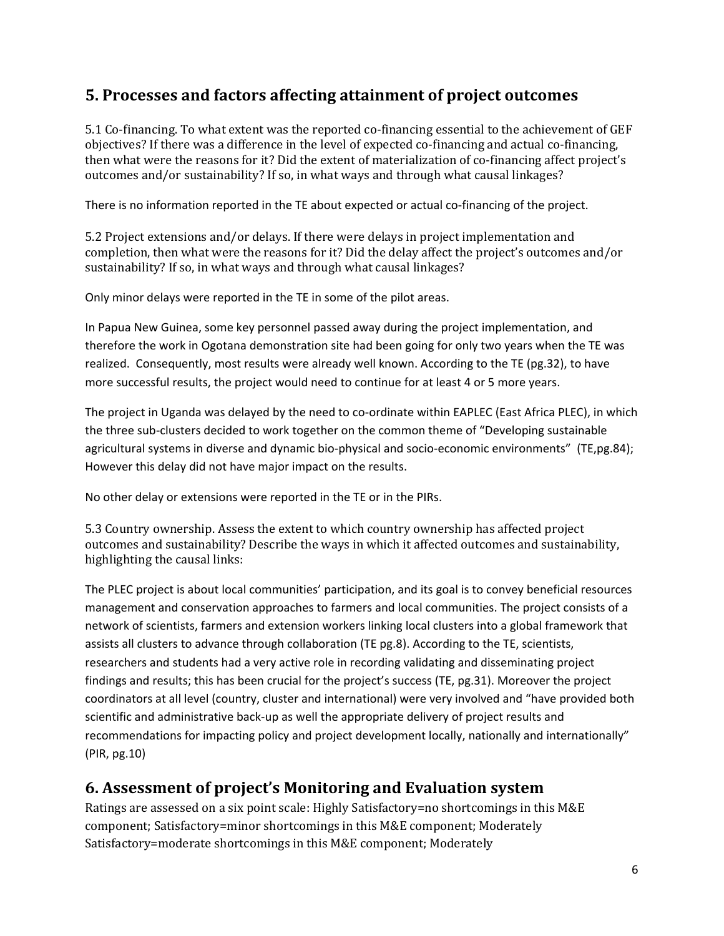## **5. Processes and factors affecting attainment of project outcomes**

5.1 Co-financing. To what extent was the reported co-financing essential to the achievement of GEF objectives? If there was a difference in the level of expected co-financing and actual co-financing, then what were the reasons for it? Did the extent of materialization of co-financing affect project's outcomes and/or sustainability? If so, in what ways and through what causal linkages?

There is no information reported in the TE about expected or actual co-financing of the project.

5.2 Project extensions and/or delays. If there were delays in project implementation and completion, then what were the reasons for it? Did the delay affect the project's outcomes and/or sustainability? If so, in what ways and through what causal linkages?

Only minor delays were reported in the TE in some of the pilot areas.

In Papua New Guinea, some key personnel passed away during the project implementation, and therefore the work in Ogotana demonstration site had been going for only two years when the TE was realized. Consequently, most results were already well known. According to the TE (pg.32), to have more successful results, the project would need to continue for at least 4 or 5 more years.

The project in Uganda was delayed by the need to co-ordinate within EAPLEC (East Africa PLEC), in which the three sub-clusters decided to work together on the common theme of "Developing sustainable agricultural systems in diverse and dynamic bio-physical and socio-economic environments" (TE,pg.84); However this delay did not have major impact on the results.

No other delay or extensions were reported in the TE or in the PIRs.

5.3 Country ownership. Assess the extent to which country ownership has affected project outcomes and sustainability? Describe the ways in which it affected outcomes and sustainability, highlighting the causal links:

The PLEC project is about local communities' participation, and its goal is to convey beneficial resources management and conservation approaches to farmers and local communities. The project consists of a network of scientists, farmers and extension workers linking local clusters into a global framework that assists all clusters to advance through collaboration (TE pg.8). According to the TE, scientists, researchers and students had a very active role in recording validating and disseminating project findings and results; this has been crucial for the project's success (TE, pg.31). Moreover the project coordinators at all level (country, cluster and international) were very involved and "have provided both scientific and administrative back-up as well the appropriate delivery of project results and recommendations for impacting policy and project development locally, nationally and internationally" (PIR, pg.10)

## **6. Assessment of project's Monitoring and Evaluation system**

Ratings are assessed on a six point scale: Highly Satisfactory=no shortcomings in this M&E component; Satisfactory=minor shortcomings in this M&E component; Moderately Satisfactory=moderate shortcomings in this M&E component; Moderately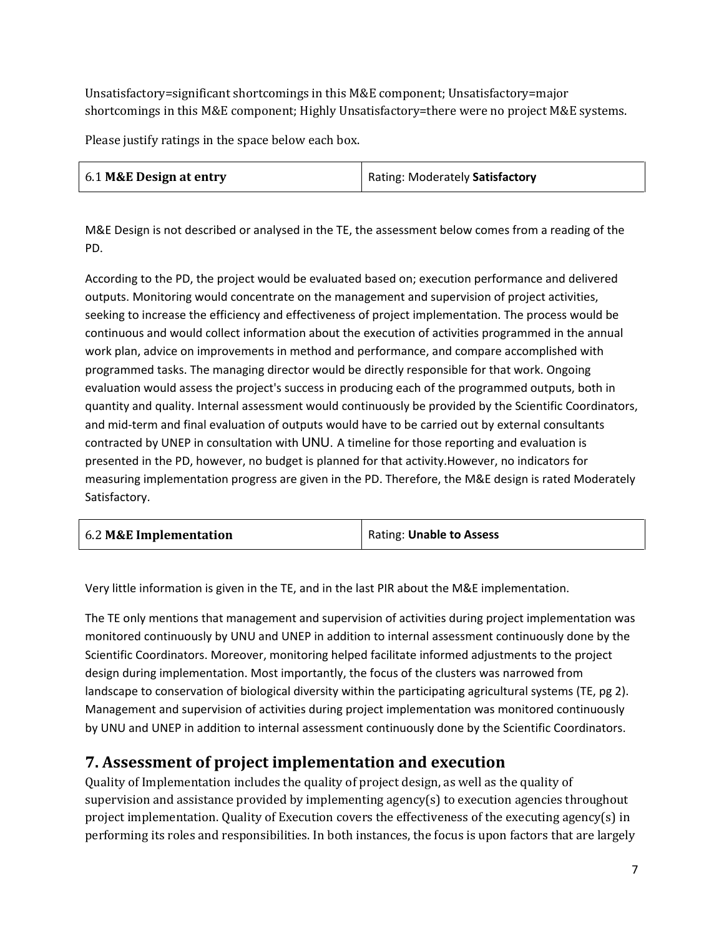Unsatisfactory=significant shortcomings in this M&E component; Unsatisfactory=major shortcomings in this M&E component; Highly Unsatisfactory=there were no project M&E systems.

Please justify ratings in the space below each box.

| 6.1 M&E Design at entry | Rating: Moderately Satisfactory |
|-------------------------|---------------------------------|
|-------------------------|---------------------------------|

M&E Design is not described or analysed in the TE, the assessment below comes from a reading of the PD.

According to the PD, the project would be evaluated based on; execution performance and delivered outputs. Monitoring would concentrate on the management and supervision of project activities, seeking to increase the efficiency and effectiveness of project implementation. The process would be continuous and would collect information about the execution of activities programmed in the annual work plan, advice on improvements in method and performance, and compare accomplished with programmed tasks. The managing director would be directly responsible for that work. Ongoing evaluation would assess the project's success in producing each of the programmed outputs, both in quantity and quality. Internal assessment would continuously be provided by the Scientific Coordinators, and mid-term and final evaluation of outputs would have to be carried out by external consultants contracted by UNEP in consultation with UNU. A timeline for those reporting and evaluation is presented in the PD, however, no budget is planned for that activity.However, no indicators for measuring implementation progress are given in the PD. Therefore, the M&E design is rated Moderately Satisfactory.

| 6.2 M&E Implementation | Rating: Unable to Assess |
|------------------------|--------------------------|
|------------------------|--------------------------|

Very little information is given in the TE, and in the last PIR about the M&E implementation.

The TE only mentions that management and supervision of activities during project implementation was monitored continuously by UNU and UNEP in addition to internal assessment continuously done by the Scientific Coordinators. Moreover, monitoring helped facilitate informed adjustments to the project design during implementation. Most importantly, the focus of the clusters was narrowed from landscape to conservation of biological diversity within the participating agricultural systems (TE, pg 2). Management and supervision of activities during project implementation was monitored continuously by UNU and UNEP in addition to internal assessment continuously done by the Scientific Coordinators.

## **7. Assessment of project implementation and execution**

Quality of Implementation includes the quality of project design, as well as the quality of supervision and assistance provided by implementing agency(s) to execution agencies throughout project implementation. Quality of Execution covers the effectiveness of the executing agency(s) in performing its roles and responsibilities. In both instances, the focus is upon factors that are largely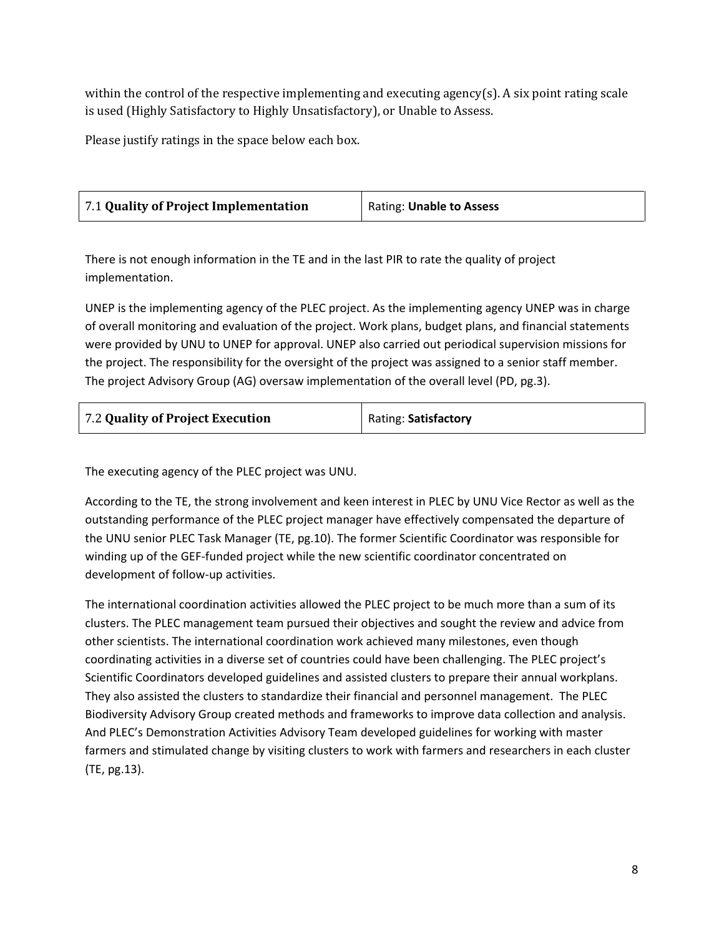within the control of the respective implementing and executing agency(s). A six point rating scale is used (Highly Satisfactory to Highly Unsatisfactory), or Unable to Assess.

Please justify ratings in the space below each box.

| 7.1 Quality of Project Implementation | <b>Rating: Unable to Assess</b> |
|---------------------------------------|---------------------------------|
|                                       |                                 |

There is not enough information in the TE and in the last PIR to rate the quality of project implementation.

UNEP is the implementing agency of the PLEC project. As the implementing agency UNEP was in charge of overall monitoring and evaluation of the project. Work plans, budget plans, and financial statements were provided by UNU to UNEP for approval. UNEP also carried out periodical supervision missions for the project. The responsibility for the oversight of the project was assigned to a senior staff member. The project Advisory Group (AG) oversaw implementation of the overall level (PD, pg.3).

| 7.2 Quality of Project Execution | Rating: Satisfactory |
|----------------------------------|----------------------|
|----------------------------------|----------------------|

The executing agency of the PLEC project was UNU.

According to the TE, the strong involvement and keen interest in PLEC by UNU Vice Rector as well as the outstanding performance of the PLEC project manager have effectively compensated the departure of the UNU senior PLEC Task Manager (TE, pg.10). The former Scientific Coordinator was responsible for winding up of the GEF-funded project while the new scientific coordinator concentrated on development of follow-up activities.

The international coordination activities allowed the PLEC project to be much more than a sum of its clusters. The PLEC management team pursued their objectives and sought the review and advice from other scientists. The international coordination work achieved many milestones, even though coordinating activities in a diverse set of countries could have been challenging. The PLEC project's Scientific Coordinators developed guidelines and assisted clusters to prepare their annual workplans. They also assisted the clusters to standardize their financial and personnel management. The PLEC Biodiversity Advisory Group created methods and frameworks to improve data collection and analysis. And PLEC's Demonstration Activities Advisory Team developed guidelines for working with master farmers and stimulated change by visiting clusters to work with farmers and researchers in each cluster (TE, pg.13).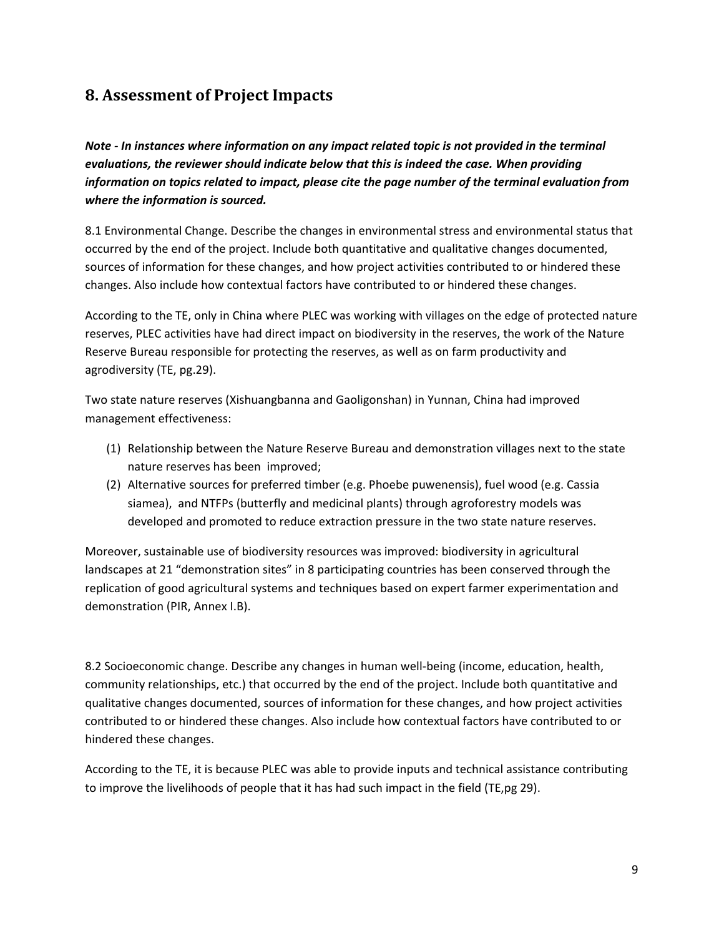## **8. Assessment of Project Impacts**

*Note - In instances where information on any impact related topic is not provided in the terminal evaluations, the reviewer should indicate below that this is indeed the case. When providing information on topics related to impact, please cite the page number of the terminal evaluation from where the information is sourced.* 

8.1 Environmental Change. Describe the changes in environmental stress and environmental status that occurred by the end of the project. Include both quantitative and qualitative changes documented, sources of information for these changes, and how project activities contributed to or hindered these changes. Also include how contextual factors have contributed to or hindered these changes.

According to the TE, only in China where PLEC was working with villages on the edge of protected nature reserves, PLEC activities have had direct impact on biodiversity in the reserves, the work of the Nature Reserve Bureau responsible for protecting the reserves, as well as on farm productivity and agrodiversity (TE, pg.29).

Two state nature reserves (Xishuangbanna and Gaoligonshan) in Yunnan, China had improved management effectiveness:

- (1) Relationship between the Nature Reserve Bureau and demonstration villages next to the state nature reserves has been improved;
- (2) Alternative sources for preferred timber (e.g. Phoebe puwenensis), fuel wood (e.g. Cassia siamea), and NTFPs (butterfly and medicinal plants) through agroforestry models was developed and promoted to reduce extraction pressure in the two state nature reserves.

Moreover, sustainable use of biodiversity resources was improved: biodiversity in agricultural landscapes at 21 "demonstration sites" in 8 participating countries has been conserved through the replication of good agricultural systems and techniques based on expert farmer experimentation and demonstration (PIR, Annex I.B).

8.2 Socioeconomic change. Describe any changes in human well-being (income, education, health, community relationships, etc.) that occurred by the end of the project. Include both quantitative and qualitative changes documented, sources of information for these changes, and how project activities contributed to or hindered these changes. Also include how contextual factors have contributed to or hindered these changes.

According to the TE, it is because PLEC was able to provide inputs and technical assistance contributing to improve the livelihoods of people that it has had such impact in the field (TE,pg 29).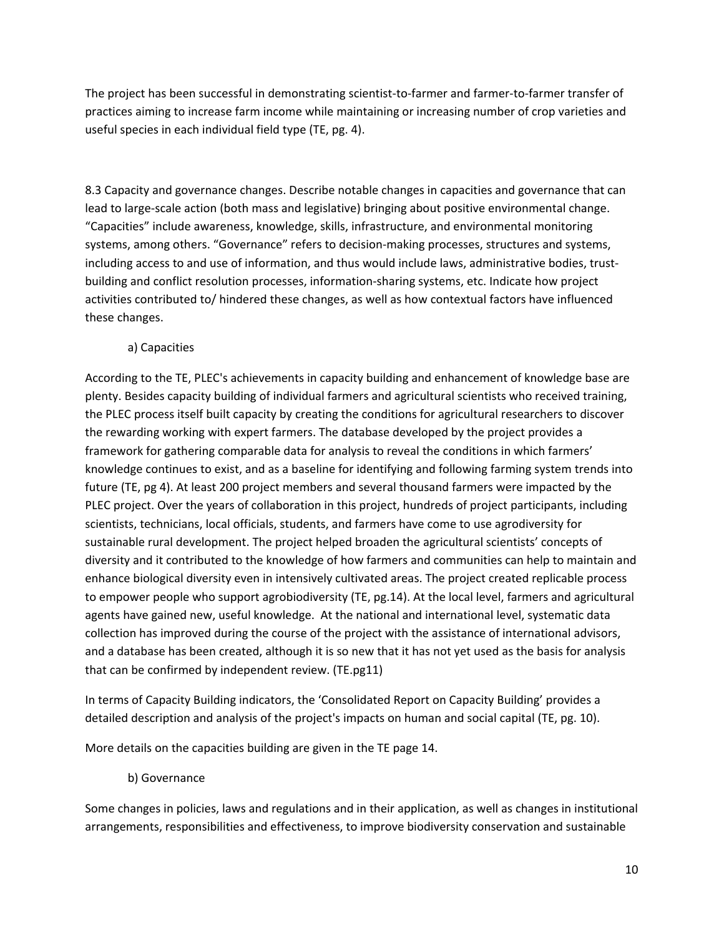The project has been successful in demonstrating scientist-to-farmer and farmer-to-farmer transfer of practices aiming to increase farm income while maintaining or increasing number of crop varieties and useful species in each individual field type (TE, pg. 4).

8.3 Capacity and governance changes. Describe notable changes in capacities and governance that can lead to large-scale action (both mass and legislative) bringing about positive environmental change. "Capacities" include awareness, knowledge, skills, infrastructure, and environmental monitoring systems, among others. "Governance" refers to decision-making processes, structures and systems, including access to and use of information, and thus would include laws, administrative bodies, trustbuilding and conflict resolution processes, information-sharing systems, etc. Indicate how project activities contributed to/ hindered these changes, as well as how contextual factors have influenced these changes.

#### a) Capacities

According to the TE, PLEC's achievements in capacity building and enhancement of knowledge base are plenty. Besides capacity building of individual farmers and agricultural scientists who received training, the PLEC process itself built capacity by creating the conditions for agricultural researchers to discover the rewarding working with expert farmers. The database developed by the project provides a framework for gathering comparable data for analysis to reveal the conditions in which farmers' knowledge continues to exist, and as a baseline for identifying and following farming system trends into future (TE, pg 4). At least 200 project members and several thousand farmers were impacted by the PLEC project. Over the years of collaboration in this project, hundreds of project participants, including scientists, technicians, local officials, students, and farmers have come to use agrodiversity for sustainable rural development. The project helped broaden the agricultural scientists' concepts of diversity and it contributed to the knowledge of how farmers and communities can help to maintain and enhance biological diversity even in intensively cultivated areas. The project created replicable process to empower people who support agrobiodiversity (TE, pg.14). At the local level, farmers and agricultural agents have gained new, useful knowledge. At the national and international level, systematic data collection has improved during the course of the project with the assistance of international advisors, and a database has been created, although it is so new that it has not yet used as the basis for analysis that can be confirmed by independent review. (TE.pg11)

In terms of Capacity Building indicators, the 'Consolidated Report on Capacity Building' provides a detailed description and analysis of the project's impacts on human and social capital (TE, pg. 10).

More details on the capacities building are given in the TE page 14.

#### b) Governance

Some changes in policies, laws and regulations and in their application, as well as changes in institutional arrangements, responsibilities and effectiveness, to improve biodiversity conservation and sustainable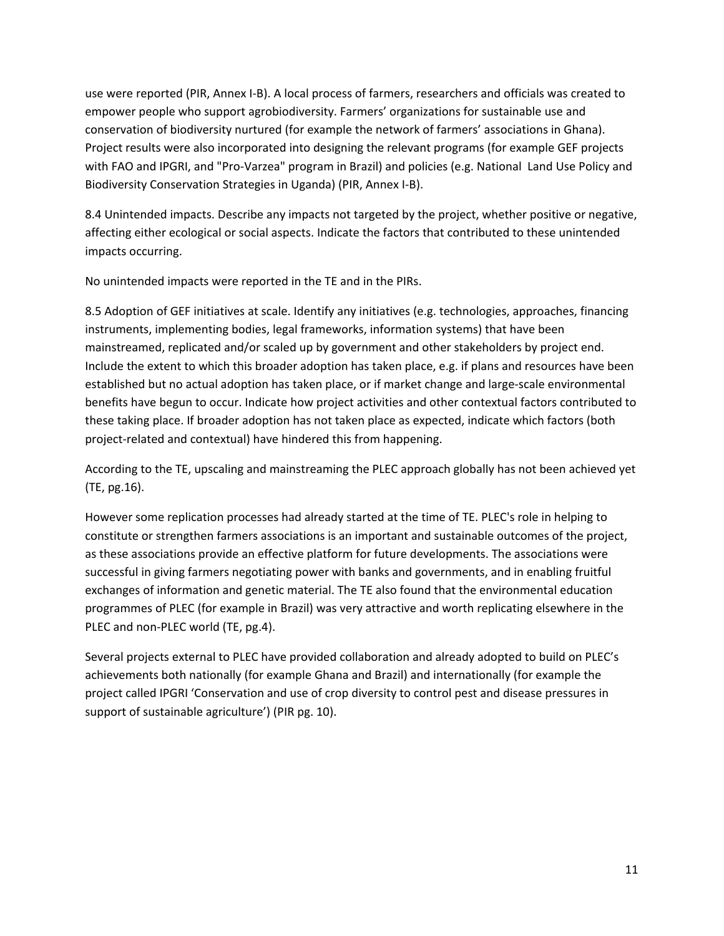use were reported (PIR, Annex I-B). A local process of farmers, researchers and officials was created to empower people who support agrobiodiversity. Farmers' organizations for sustainable use and conservation of biodiversity nurtured (for example the network of farmers' associations in Ghana). Project results were also incorporated into designing the relevant programs (for example GEF projects with FAO and IPGRI, and "Pro-Varzea" program in Brazil) and policies (e.g. National Land Use Policy and Biodiversity Conservation Strategies in Uganda) (PIR, Annex I-B).

8.4 Unintended impacts. Describe any impacts not targeted by the project, whether positive or negative, affecting either ecological or social aspects. Indicate the factors that contributed to these unintended impacts occurring.

No unintended impacts were reported in the TE and in the PIRs.

8.5 Adoption of GEF initiatives at scale. Identify any initiatives (e.g. technologies, approaches, financing instruments, implementing bodies, legal frameworks, information systems) that have been mainstreamed, replicated and/or scaled up by government and other stakeholders by project end. Include the extent to which this broader adoption has taken place, e.g. if plans and resources have been established but no actual adoption has taken place, or if market change and large-scale environmental benefits have begun to occur. Indicate how project activities and other contextual factors contributed to these taking place. If broader adoption has not taken place as expected, indicate which factors (both project-related and contextual) have hindered this from happening.

According to the TE, upscaling and mainstreaming the PLEC approach globally has not been achieved yet (TE, pg.16).

However some replication processes had already started at the time of TE. PLEC's role in helping to constitute or strengthen farmers associations is an important and sustainable outcomes of the project, as these associations provide an effective platform for future developments. The associations were successful in giving farmers negotiating power with banks and governments, and in enabling fruitful exchanges of information and genetic material. The TE also found that the environmental education programmes of PLEC (for example in Brazil) was very attractive and worth replicating elsewhere in the PLEC and non-PLEC world (TE, pg.4).

Several projects external to PLEC have provided collaboration and already adopted to build on PLEC's achievements both nationally (for example Ghana and Brazil) and internationally (for example the project called IPGRI 'Conservation and use of crop diversity to control pest and disease pressures in support of sustainable agriculture') (PIR pg. 10).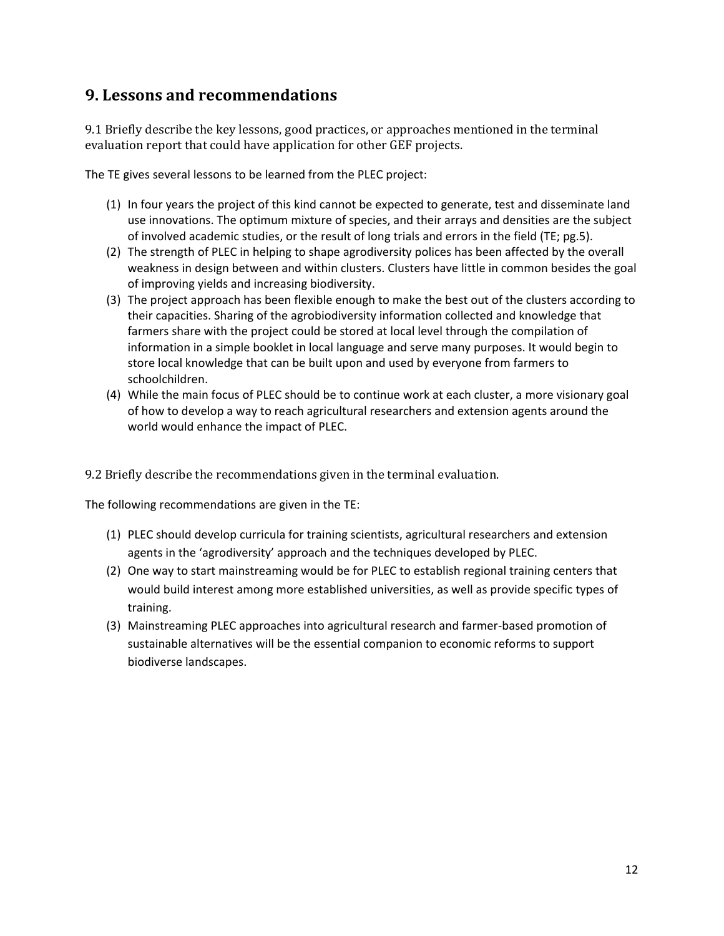### **9. Lessons and recommendations**

9.1 Briefly describe the key lessons, good practices, or approaches mentioned in the terminal evaluation report that could have application for other GEF projects.

The TE gives several lessons to be learned from the PLEC project:

- (1) In four years the project of this kind cannot be expected to generate, test and disseminate land use innovations. The optimum mixture of species, and their arrays and densities are the subject of involved academic studies, or the result of long trials and errors in the field (TE; pg.5).
- (2) The strength of PLEC in helping to shape agrodiversity polices has been affected by the overall weakness in design between and within clusters. Clusters have little in common besides the goal of improving yields and increasing biodiversity.
- (3) The project approach has been flexible enough to make the best out of the clusters according to their capacities. Sharing of the agrobiodiversity information collected and knowledge that farmers share with the project could be stored at local level through the compilation of information in a simple booklet in local language and serve many purposes. It would begin to store local knowledge that can be built upon and used by everyone from farmers to schoolchildren.
- (4) While the main focus of PLEC should be to continue work at each cluster, a more visionary goal of how to develop a way to reach agricultural researchers and extension agents around the world would enhance the impact of PLEC.

9.2 Briefly describe the recommendations given in the terminal evaluation.

The following recommendations are given in the TE:

- (1) PLEC should develop curricula for training scientists, agricultural researchers and extension agents in the 'agrodiversity' approach and the techniques developed by PLEC.
- (2) One way to start mainstreaming would be for PLEC to establish regional training centers that would build interest among more established universities, as well as provide specific types of training.
- (3) Mainstreaming PLEC approaches into agricultural research and farmer-based promotion of sustainable alternatives will be the essential companion to economic reforms to support biodiverse landscapes.